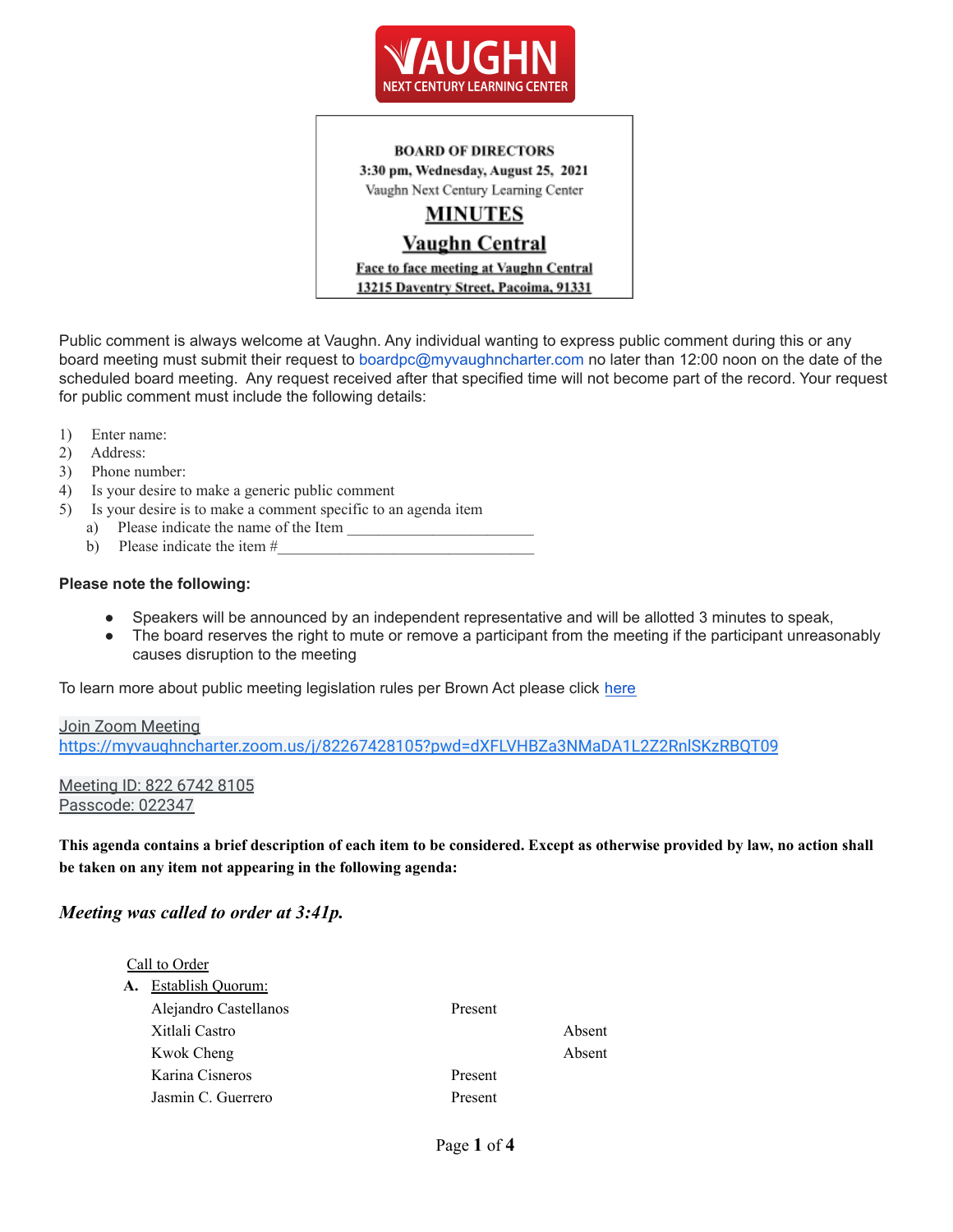

**BOARD OF DIRECTORS** 3:30 pm, Wednesday, August 25, 2021 Vaughn Next Century Learning Center

# **MINUTES**

# Vaughn Central

Face to face meeting at Vaughn Central 13215 Daventry Street, Pacoima, 91331

Public comment is always welcome at Vaughn. Any individual wanting to express public comment during this or any board meeting must submit their request to boardpc@myvaughncharter.com no later than 12:00 noon on the date of the scheduled board meeting. Any request received after that specified time will not become part of the record. Your request for public comment must include the following details:

- 1) Enter name:
- 2) Address:
- 3) Phone number:
- 4) Is your desire to make a generic public comment
- 5) Is your desire is to make a comment specific to an agenda item
	- a) Please indicate the name of the Item
	- b) Please indicate the item  $#_2$

#### **Please note the following:**

- Speakers will be announced by an independent representative and will be allotted 3 minutes to speak,
- The board reserves the right to mute or remove a participant from the meeting if the participant unreasonably causes disruption to the meeting

To learn more about public meeting legislation rules per Brown Act please click [here](https://leginfo.legislature.ca.gov/faces/billTextClient.xhtml?bill_id=201520160AB1787)

# Join Zoom Meeting <https://myvaughncharter.zoom.us/j/82267428105?pwd=dXFLVHBZa3NMaDA1L2Z2RnlSKzRBQT09>

Meeting ID: 822 6742 8105 Passcode: 022347

This agenda contains a brief description of each item to be considered. Except as otherwise provided by law, no action shall **be taken on any item not appearing in the following agenda:**

### *Meeting was called to order at 3:41p.*

|    | Call to Order         |         |        |
|----|-----------------------|---------|--------|
| А. | Establish Quorum:     |         |        |
|    | Alejandro Castellanos | Present |        |
|    | Xitlali Castro        |         | Absent |
|    | Kwok Cheng            |         | Absent |
|    | Karina Cisneros       | Present |        |
|    | Jasmin C. Guerrero    | Present |        |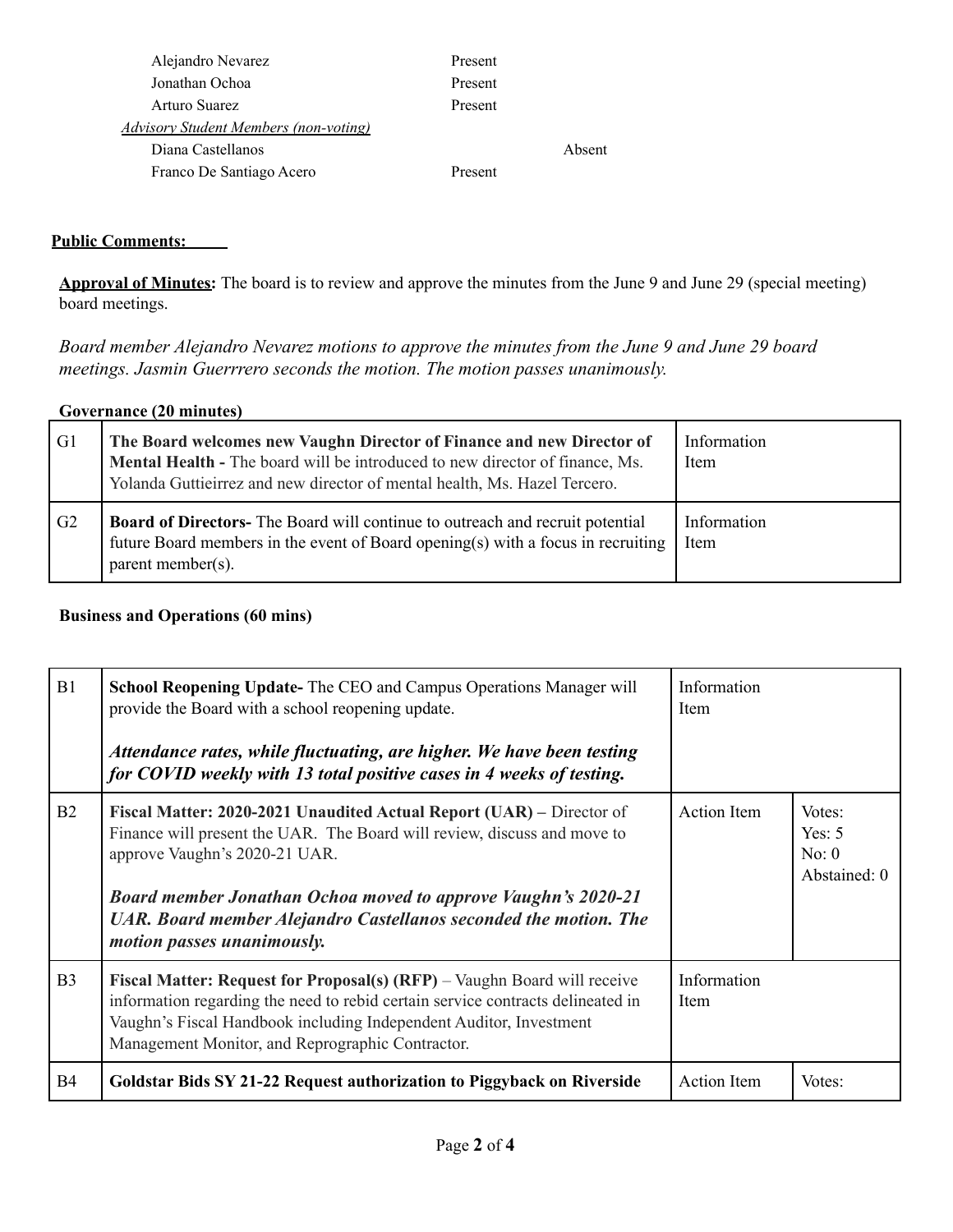| Alejandro Nevarez                            | Present |        |
|----------------------------------------------|---------|--------|
| Jonathan Ochoa                               | Present |        |
| Arturo Suarez                                | Present |        |
| <b>Advisory Student Members (non-voting)</b> |         |        |
| Diana Castellanos                            |         | Absent |
| Franco De Santiago Acero                     | Present |        |

## **Public Comments:**

**Approval of Minutes:** The board is to review and approve the minutes from the June 9 and June 29 (special meeting) board meetings.

*Board member Alejandro Nevarez motions to approve the minutes from the June 9 and June 29 board meetings. Jasmin Guerrrero seconds the motion. The motion passes unanimously.*

| Governance (20 minutes) |                                                                                                                                                                                                                                    |                            |  |
|-------------------------|------------------------------------------------------------------------------------------------------------------------------------------------------------------------------------------------------------------------------------|----------------------------|--|
| G1                      | The Board welcomes new Vaughn Director of Finance and new Director of<br>Mental Health - The board will be introduced to new director of finance, Ms.<br>Yolanda Guttieirrez and new director of mental health, Ms. Hazel Tercero. | Information<br><b>Item</b> |  |
| G2                      | <b>Board of Directors-</b> The Board will continue to outreach and recruit potential<br>future Board members in the event of Board opening(s) with a focus in recruiting<br>parent member( $s$ ).                                  | Information<br>Item        |  |

### **Business and Operations (60 mins)**

| B1             | <b>School Reopening Update-</b> The CEO and Campus Operations Manager will<br>provide the Board with a school reopening update.                                                                                                                                                                                                                             | Information<br>Item |                                             |
|----------------|-------------------------------------------------------------------------------------------------------------------------------------------------------------------------------------------------------------------------------------------------------------------------------------------------------------------------------------------------------------|---------------------|---------------------------------------------|
|                | Attendance rates, while fluctuating, are higher. We have been testing<br>for COVID weekly with 13 total positive cases in 4 weeks of testing.                                                                                                                                                                                                               |                     |                                             |
| B2             | Fiscal Matter: 2020-2021 Unaudited Actual Report (UAR) – Director of<br>Finance will present the UAR. The Board will review, discuss and move to<br>approve Vaughn's 2020-21 UAR.<br><b>Board member Jonathan Ochoa moved to approve Vaughn's 2020-21</b><br>UAR. Board member Alejandro Castellanos seconded the motion. The<br>motion passes unanimously. | <b>Action</b> Item  | Votes:<br>Yes: $5$<br>No: 0<br>Abstained: 0 |
| B <sub>3</sub> | <b>Fiscal Matter: Request for Proposal(s) (RFP)</b> – Vaughn Board will receive<br>information regarding the need to rebid certain service contracts delineated in<br>Vaughn's Fiscal Handbook including Independent Auditor, Investment<br>Management Monitor, and Reprographic Contractor.                                                                | Information<br>Item |                                             |
| <b>B4</b>      | Goldstar Bids SY 21-22 Request authorization to Piggyback on Riverside                                                                                                                                                                                                                                                                                      | Action Item         | Votes:                                      |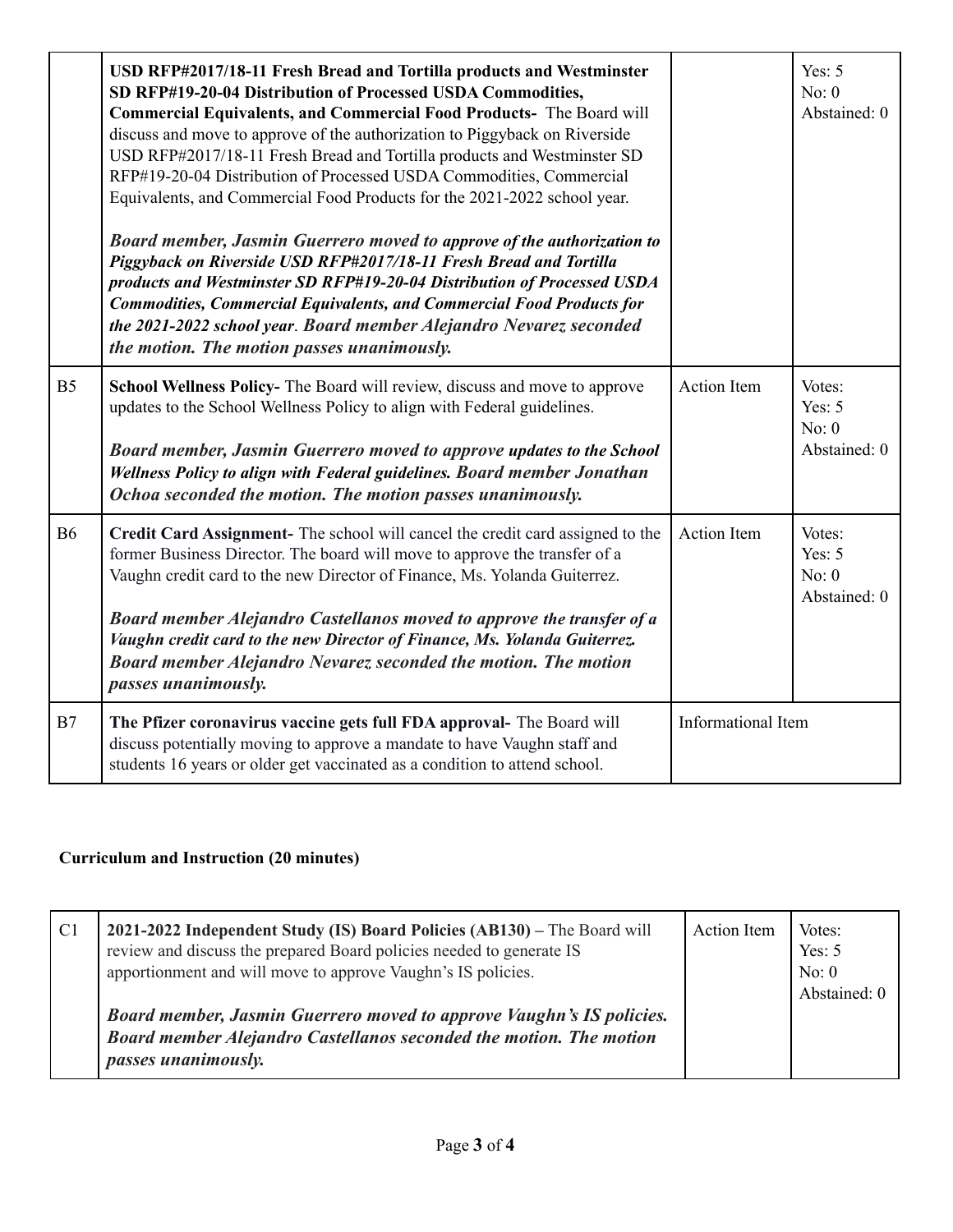|                | USD RFP#2017/18-11 Fresh Bread and Tortilla products and Westminster<br>SD RFP#19-20-04 Distribution of Processed USDA Commodities,<br>Commercial Equivalents, and Commercial Food Products- The Board will<br>discuss and move to approve of the authorization to Piggyback on Riverside<br>USD RFP#2017/18-11 Fresh Bread and Tortilla products and Westminster SD<br>RFP#19-20-04 Distribution of Processed USDA Commodities, Commercial<br>Equivalents, and Commercial Food Products for the 2021-2022 school year.<br>Board member, Jasmin Guerrero moved to approve of the authorization to<br>Piggyback on Riverside USD RFP#2017/18-11 Fresh Bread and Tortilla<br>products and Westminster SD RFP#19-20-04 Distribution of Processed USDA<br><b>Commodities, Commercial Equivalents, and Commercial Food Products for</b><br>the 2021-2022 school year. Board member Alejandro Nevarez seconded<br>the motion. The motion passes unanimously. |                    | Yes: $5$<br>No: 0<br>Abstained: 0           |
|----------------|--------------------------------------------------------------------------------------------------------------------------------------------------------------------------------------------------------------------------------------------------------------------------------------------------------------------------------------------------------------------------------------------------------------------------------------------------------------------------------------------------------------------------------------------------------------------------------------------------------------------------------------------------------------------------------------------------------------------------------------------------------------------------------------------------------------------------------------------------------------------------------------------------------------------------------------------------------|--------------------|---------------------------------------------|
| B <sub>5</sub> | School Wellness Policy- The Board will review, discuss and move to approve<br>updates to the School Wellness Policy to align with Federal guidelines.<br>Board member, Jasmin Guerrero moved to approve updates to the School<br>Wellness Policy to align with Federal guidelines. Board member Jonathan<br>Ochoa seconded the motion. The motion passes unanimously.                                                                                                                                                                                                                                                                                                                                                                                                                                                                                                                                                                                  | <b>Action Item</b> | Votes:<br>Yes: $5$<br>No: 0<br>Abstained: 0 |
| <b>B6</b>      | Credit Card Assignment- The school will cancel the credit card assigned to the<br>former Business Director. The board will move to approve the transfer of a<br>Vaughn credit card to the new Director of Finance, Ms. Yolanda Guiterrez.<br>Board member Alejandro Castellanos moved to approve the transfer of a<br>Vaughn credit card to the new Director of Finance, Ms. Yolanda Guiterrez.<br>Board member Alejandro Nevarez seconded the motion. The motion<br>passes unanimously.                                                                                                                                                                                                                                                                                                                                                                                                                                                               | <b>Action Item</b> | Votes:<br>Yes: $5$<br>No: 0<br>Abstained: 0 |
| B7             | The Pfizer coronavirus vaccine gets full FDA approval- The Board will<br>discuss potentially moving to approve a mandate to have Vaughn staff and<br>students 16 years or older get vaccinated as a condition to attend school.                                                                                                                                                                                                                                                                                                                                                                                                                                                                                                                                                                                                                                                                                                                        | Informational Item |                                             |

# **Curriculum and Instruction (20 minutes)**

| C <sub>1</sub> | 2021-2022 Independent Study (IS) Board Policies (AB130) - The Board will<br>review and discuss the prepared Board policies needed to generate IS<br>apportionment and will move to approve Vaughn's IS policies. | <b>Action</b> Item | Votes:<br>Yes: $5$<br>No: 0<br>Abstained: 0 |
|----------------|------------------------------------------------------------------------------------------------------------------------------------------------------------------------------------------------------------------|--------------------|---------------------------------------------|
|                | <b>Board member, Jasmin Guerrero moved to approve Vaughn's IS policies.</b><br>Board member Alejandro Castellanos seconded the motion. The motion<br>passes unanimously.                                         |                    |                                             |